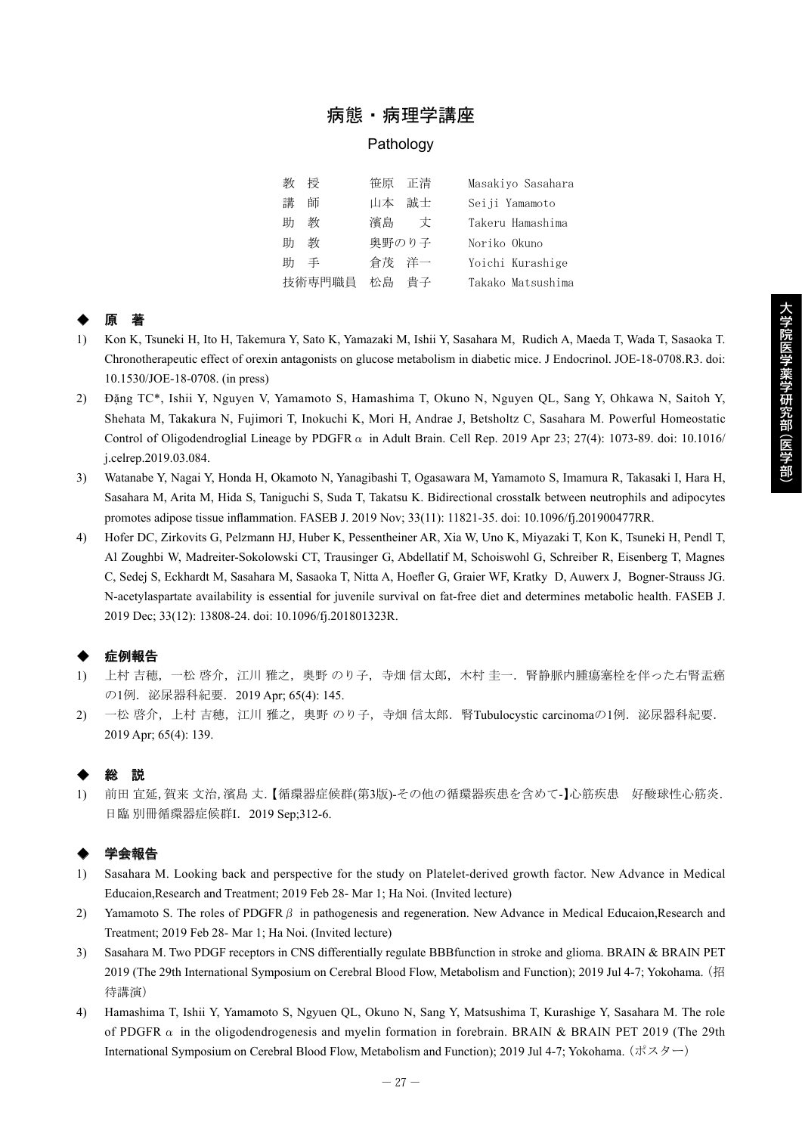## 病態・病理学講座

#### Pathology

教 授 笹原 正清 Masakiyo Sasahara 講 師 山本 誠士 Seiji Yamamoto 助 教 濱島 丈 Takeru Hamashima 助 教 奥野のり子 Noriko Okuno 助 手 倉茂 洋一 Yoichi Kurashige 技術専門職員 松島 貴子 Takako Matsushima

# ◆ 原 著

- 1) Kon K, Tsuneki H, Ito H, Takemura Y, Sato K, Yamazaki M, Ishii Y, Sasahara M, Rudich A, Maeda T, Wada T, Sasaoka T. Chronotherapeutic effect of orexin antagonists on glucose metabolism in diabetic mice. J Endocrinol. JOE-18-0708.R3. doi: 10.1530/JOE-18-0708. (in press)
- 2) Đặng TC\*, Ishii Y, Nguyen V, Yamamoto S, Hamashima T, Okuno N, Nguyen QL, Sang Y, Ohkawa N, Saitoh Y, Shehata M, Takakura N, Fujimori T, Inokuchi K, Mori H, Andrae J, Betsholtz C, Sasahara M. Powerful Homeostatic Control of Oligodendroglial Lineage by PDGFR  $\alpha$  in Adult Brain. Cell Rep. 2019 Apr 23; 27(4): 1073-89. doi: 10.1016/ j.celrep.2019.03.084.
- 3) Watanabe Y, Nagai Y, Honda H, Okamoto N, Yanagibashi T, Ogasawara M, Yamamoto S, Imamura R, Takasaki I, Hara H, Sasahara M, Arita M, Hida S, Taniguchi S, Suda T, Takatsu K. Bidirectional crosstalk between neutrophils and adipocytes promotes adipose tissue inflammation. FASEB J. 2019 Nov; 33(11): 11821-35. doi: 10.1096/fj.201900477RR.
- 4) Hofer DC, Zirkovits G, Pelzmann HJ, Huber K, Pessentheiner AR, Xia W, Uno K, Miyazaki T, Kon K, Tsuneki H, Pendl T, Al Zoughbi W, Madreiter-Sokolowski CT, Trausinger G, Abdellatif M, Schoiswohl G, Schreiber R, Eisenberg T, Magnes C, Sedej S, Eckhardt M, Sasahara M, Sasaoka T, Nitta A, Hoefler G, Graier WF, Kratky D, Auwerx J, Bogner-Strauss JG. N-acetylaspartate availability is essential for juvenile survival on fat-free diet and determines metabolic health. FASEB J. 2019 Dec; 33(12): 13808-24. doi: 10.1096/fj.201801323R.

## 症例報告

- 1) 上村 吉穂,一松 啓介,江川 雅之,奥野 のり子,寺畑 信太郎,木村 圭一.腎静脈内腫瘍塞栓を伴った右腎盂癌 の1例.泌尿器科紀要.2019 Apr; 65(4): 145.
- 2) 一松 啓介,上村 吉穂,江川 雅之,奥野 のり子,寺畑 信太郎.腎Tubulocystic carcinomaの1例.泌尿器科紀要. 2019 Apr; 65(4): 139.

## ◆ 総 説

1) 前田 宜延,賀来 文治,濱島 丈.【循環器症候群(第3版)-その他の循環器疾患を含めて-】心筋疾患 好酸球性心筋炎. 日臨 別冊循環器症候群I.2019 Sep;312-6.

### 学会報告

- 1) Sasahara M. Looking back and perspective for the study on Platelet-derived growth factor. New Advance in Medical Educaion,Research and Treatment; 2019 Feb 28- Mar 1; Ha Noi. (Invited lecture)
- 2) Yamamoto S. The roles of PDGFR $\beta$  in pathogenesis and regeneration. New Advance in Medical Educaion,Research and Treatment; 2019 Feb 28- Mar 1; Ha Noi. (Invited lecture)
- 3) Sasahara M. Two PDGF receptors in CNS differentially regulate BBBfunction in stroke and glioma. BRAIN & BRAIN PET 2019 (The 29th International Symposium on Cerebral Blood Flow, Metabolism and Function); 2019 Jul 4-7; Yokohama. (招 待講演)
- 4) Hamashima T, Ishii Y, Yamamoto S, Ngyuen QL, Okuno N, Sang Y, Matsushima T, Kurashige Y, Sasahara M. The role of PDGFR  $\alpha$  in the oligodendrogenesis and myelin formation in forebrain. BRAIN & BRAIN PET 2019 (The 29th International Symposium on Cerebral Blood Flow, Metabolism and Function); 2019 Jul 4-7; Yokohama. (ポスター)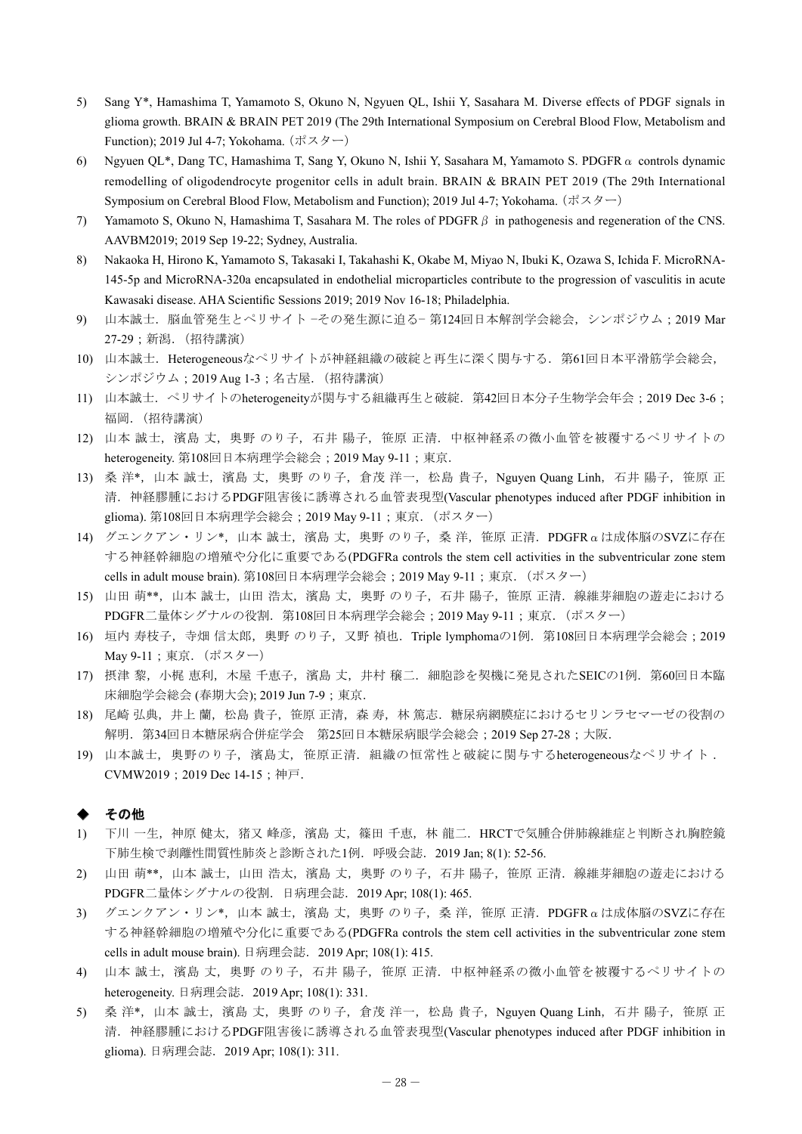- 5) Sang Y\*, Hamashima T, Yamamoto S, Okuno N, Ngyuen QL, Ishii Y, Sasahara M. Diverse effects of PDGF signals in glioma growth. BRAIN & BRAIN PET 2019 (The 29th International Symposium on Cerebral Blood Flow, Metabolism and Function); 2019 Jul 4-7; Yokohama.  $(\mathbb{R} \times \mathbb{R} \rightarrow)$
- 6) Ngyuen QL\*, Dang TC, Hamashima T, Sang Y, Okuno N, Ishii Y, Sasahara M, Yamamoto S. PDGFRα controls dynamic remodelling of oligodendrocyte progenitor cells in adult brain. BRAIN & BRAIN PET 2019 (The 29th International Symposium on Cerebral Blood Flow, Metabolism and Function); 2019 Jul 4-7; Yokohama. (ポスター)
- 7) Yamamoto S, Okuno N, Hamashima T, Sasahara M. The roles of PDGFRβ in pathogenesis and regeneration of the CNS. AAVBM2019; 2019 Sep 19-22; Sydney, Australia.
- 8) Nakaoka H, Hirono K, Yamamoto S, Takasaki I, Takahashi K, Okabe M, Miyao N, Ibuki K, Ozawa S, Ichida F. MicroRNA-145-5p and MicroRNA-320a encapsulated in endothelial microparticles contribute to the progression of vasculitis in acute Kawasaki disease. AHA Scientific Sessions 2019; 2019 Nov 16-18; Philadelphia.
- 9) 山本誠士. 脳血管発生とペリサイト −その発生源に迫る− 第124回日本解剖学会総会, シンポジウム;2019 Mar 27-29;新潟.(招待講演)
- 10) 山本誠士.Heterogeneousなペリサイトが神経組織の破綻と再生に深く関与する.第61回日本平滑筋学会総会, シンポジウム: 2019 Aug 1-3; 名古屋. (招待講演)
- 11) 山本誠士. ペリサイトのheterogeneityが関与する組織再生と破綻. 第42回日本分子生物学会年会;2019 Dec 3-6; 福岡.(招待講演)
- 12) 山本 誠士, 濱島 丈, 奥野 のり子, 石井 陽子, 笹原 正清. 中枢神経系の微小血管を被覆するペリサイトの heterogeneity. 第108回日本病理学会総会; 2019 May 9-11; 東京.
- 13) 桑洋\*, 山本 誠士, 濱島 丈, 奥野 のり子, 倉茂 洋一, 松島 貴子, Nguyen Quang Linh, 石井 陽子, 笹原 正 清.神経膠腫におけるPDGF阻害後に誘導される血管表現型(Vascular phenotypes induced after PDGF inhibition in glioma). 第108回日本病理学会総会;2019 May 9-11;東京.(ポスター)
- 14) グエンクアン・リン\*, 山本 誠士, 濱島 丈, 奥野 のり子, 桑 洋, 笹原 正清. PDGFRαは成体脳のSVZに存在 する神経幹細胞の増殖や分化に重要である(PDGFRa controls the stem cell activities in the subventricular zone stem cells in adult mouse brain). 第108回日本病理学会総会; 2019 May 9-11; 東京. (ポスター)
- 15) 山田 萌\*\*,山本 誠士,山田 浩太,濱島 丈,奥野 のり子,石井 陽子,笹原 正清.線維芽細胞の遊走における PDGFR二量体シグナルの役割. 第108回日本病理学会総会;2019 May 9-11;東京. (ポスター)
- 16) 垣内 寿枝子,寺畑 信太郎,奥野 のり子,又野 禎也.Triple lymphomaの1例.第108回日本病理学会総会;2019 May 9-11;東京.(ポスター)
- 17) 摂津 黎,小梶 恵利,木屋 千恵子,濱島 丈,井村 穣二.細胞診を契機に発見されたSEICの1例.第60回日本臨 床細胞学会総会 (春期大会); 2019 Jun 7-9; 東京.
- 18) 尾崎 弘典,井上蘭,松島貴子,笹原 正清,森寿,林 篤志.糖尿病網膜症におけるセリンラセマーゼの役割の 解明. 第34回日本糖尿病合併症学会 第25回日本糖尿病眼学会総会; 2019 Sep 27-28; 大阪.
- 19) 山本誠士,奥野のり子,濱島丈,笹原正清.組織の恒常性と破綻に関与するheterogeneousなペリサイト . CVMW2019;2019 Dec 14-15;神戸.

#### その他

- 1) 下川 一生,神原 健太,猪又 峰彦,濱島 丈,篠田 千恵,林 龍二.HRCTで気腫合併肺線維症と判断され胸腔鏡 下肺生検で剥離性間質性肺炎と診断された1例.呼吸会誌.2019 Jan; 8(1): 52-56.
- 2) 山田 萌\*\*,山本 誠士,山田 浩太,濱島 丈,奥野 のり子,石井 陽子,笹原 正清.線維芽細胞の遊走における PDGFR二量体シグナルの役割.日病理会誌.2019 Apr; 108(1): 465.
- 3) グエンクアン・リン\*,山本 誠士,濱島 丈,奥野 のり子,桑洋,笹原 正清. PDGFRαは成体脳のSVZに存在 する神経幹細胞の増殖や分化に重要である(PDGFRa controls the stem cell activities in the subventricular zone stem cells in adult mouse brain). 日病理会誌.2019 Apr; 108(1): 415.
- 4) 山本 誠士,濱島 丈,奥野 のり子,石井 陽子,笹原 正清.中枢神経系の微小血管を被覆するペリサイトの heterogeneity. 日病理会誌. 2019 Apr; 108(1): 331.
- 5) 桑洋\*,山本誠士,濱島 丈,奥野 のり子,倉茂 洋一,松島 貴子, Nguyen Quang Linh, 石井 陽子, 笹原 正 清.神経膠腫におけるPDGF阻害後に誘導される血管表現型(Vascular phenotypes induced after PDGF inhibition in glioma). 日病理会誌.2019 Apr; 108(1): 311.